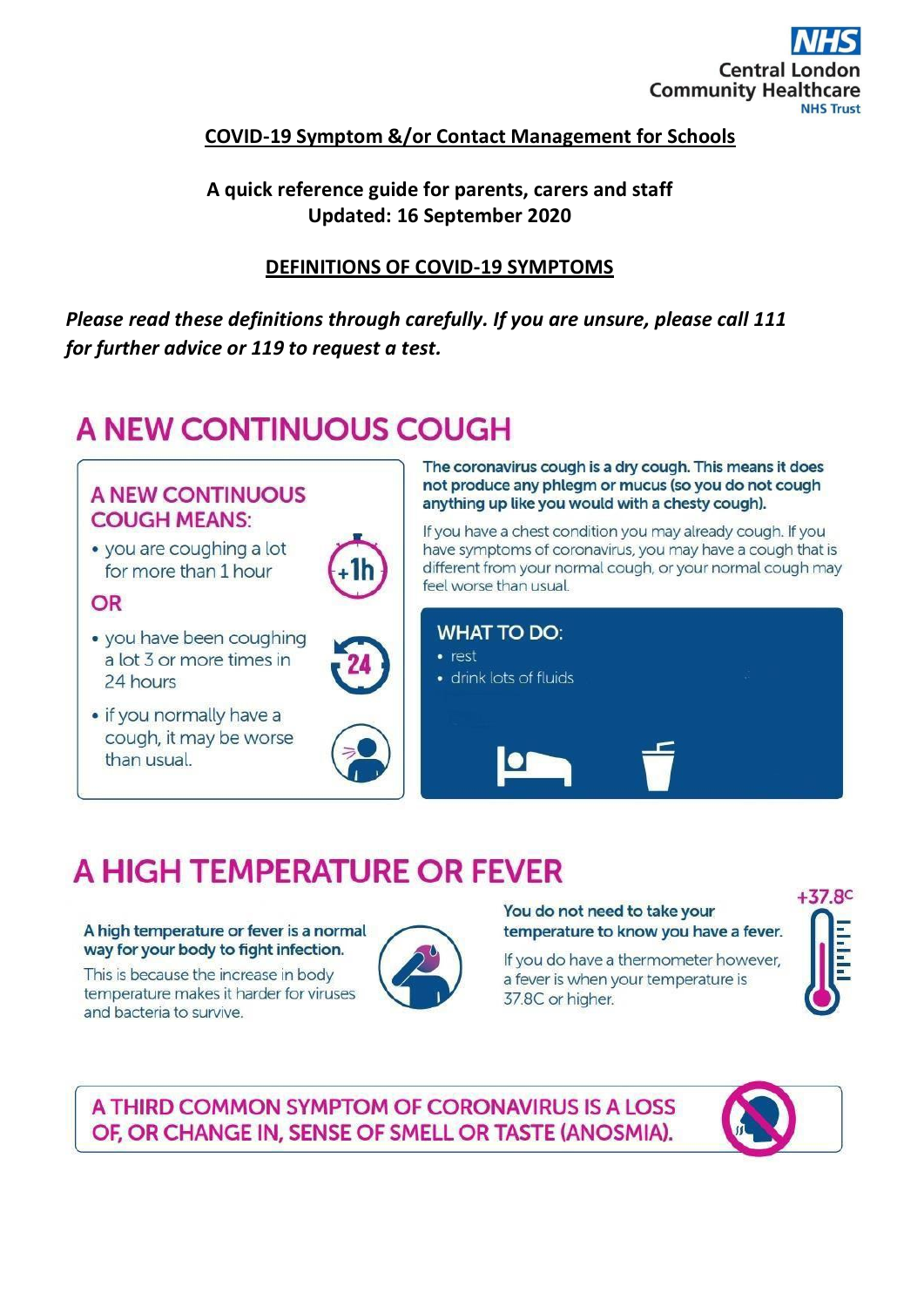

## **COVID-19 Symptom &/or Contact Management for Schools**

## A quick reference guide for parents, carers and staff Updated: 16 September 2020

### **DEFINITIONS OF COVID-19 SYMPTOMS**

Please read these definitions through carefully. If you are unsure, please call 111 for further advice or 119 to request a test.

# A NEW CONTINUOUS COUGH

## **A NEW CONTINUOUS COUGH MEANS:**

• you are coughing a lot for more than 1 hour

### OR

- · you have been coughing a lot 3 or more times in 24 hours
- if you normally have a cough, it may be worse than usual.





The coronavirus cough is a dry cough. This means it does not produce any phlegm or mucus (so you do not cough anything up like you would with a chesty cough).

If you have a chest condition you may already cough. If you have symptoms of coronavirus, you may have a cough that is different from your normal cough, or your normal cough may feel worse than usual.



# A HIGH TEMPERATURE OR FEVER

#### A high temperature or fever is a normal way for your body to fight infection.

This is because the increase in body temperature makes it harder for viruses and bacteria to survive.



#### You do not need to take your temperature to know you have a fever.

If you do have a thermometer however, a fever is when your temperature is 37.8C or higher.



## A THIRD COMMON SYMPTOM OF CORONAVIRUS IS A LOSS OF, OR CHANGE IN, SENSE OF SMELL OR TASTE (ANOSMIA).

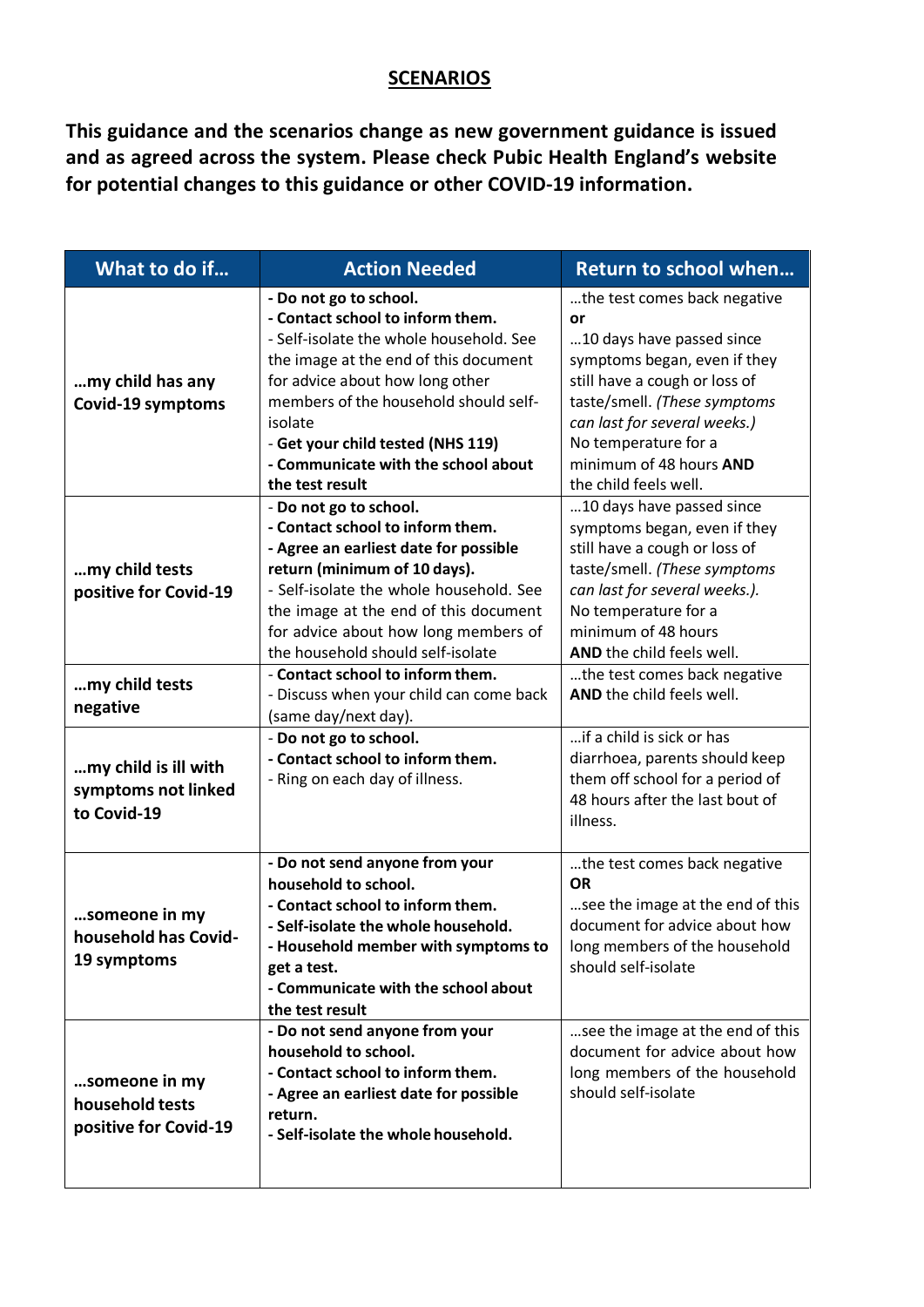## **SCENARIOS**

**This guidance and the scenarios change as new government guidance is issued and as agreed across the system. Please check Pubic Health England's website for potential changes to this guidance or other COVID-19 information.**

| What to do if                                              | <b>Action Needed</b>                                                                                                                                                                                                                                                                                                                 | <b>Return to school when</b>                                                                                                                                                                                                                                                 |
|------------------------------------------------------------|--------------------------------------------------------------------------------------------------------------------------------------------------------------------------------------------------------------------------------------------------------------------------------------------------------------------------------------|------------------------------------------------------------------------------------------------------------------------------------------------------------------------------------------------------------------------------------------------------------------------------|
| my child has any<br>Covid-19 symptoms                      | - Do not go to school.<br>- Contact school to inform them.<br>- Self-isolate the whole household. See<br>the image at the end of this document<br>for advice about how long other<br>members of the household should self-<br>isolate<br>- Get your child tested (NHS 119)<br>- Communicate with the school about<br>the test result | the test comes back negative<br>or<br>10 days have passed since<br>symptoms began, even if they<br>still have a cough or loss of<br>taste/smell. (These symptoms<br>can last for several weeks.)<br>No temperature for a<br>minimum of 48 hours AND<br>the child feels well. |
| my child tests<br>positive for Covid-19                    | - Do not go to school.<br>- Contact school to inform them.<br>- Agree an earliest date for possible<br>return (minimum of 10 days).<br>- Self-isolate the whole household. See<br>the image at the end of this document<br>for advice about how long members of<br>the household should self-isolate                                 | 10 days have passed since<br>symptoms began, even if they<br>still have a cough or loss of<br>taste/smell. (These symptoms<br>can last for several weeks.).<br>No temperature for a<br>minimum of 48 hours<br>AND the child feels well.                                      |
| my child tests<br>negative                                 | - Contact school to inform them.<br>- Discuss when your child can come back<br>(same day/next day).                                                                                                                                                                                                                                  | the test comes back negative<br>AND the child feels well.                                                                                                                                                                                                                    |
| my child is ill with<br>symptoms not linked<br>to Covid-19 | - Do not go to school.<br>- Contact school to inform them.<br>- Ring on each day of illness.                                                                                                                                                                                                                                         | if a child is sick or has<br>diarrhoea, parents should keep<br>them off school for a period of<br>48 hours after the last bout of<br>illness.                                                                                                                                |
| someone in my<br>household has Covid-<br>19 symptoms       | - Do not send anyone from your<br>household to school.<br>- Contact school to inform them.<br>- Self-isolate the whole household.<br>Household member with symptoms to<br>get a test.<br>- Communicate with the school about<br>the test result<br>- Do not send anyone from your                                                    | the test comes back negative<br><b>OR</b><br>see the image at the end of this<br>document for advice about how<br>long members of the household<br>should self-isolate<br>see the image at the end of this                                                                   |
| someone in my<br>household tests<br>positive for Covid-19  | household to school.<br>- Contact school to inform them.<br>- Agree an earliest date for possible<br>return.<br>- Self-isolate the whole household.                                                                                                                                                                                  | document for advice about how<br>long members of the household<br>should self-isolate                                                                                                                                                                                        |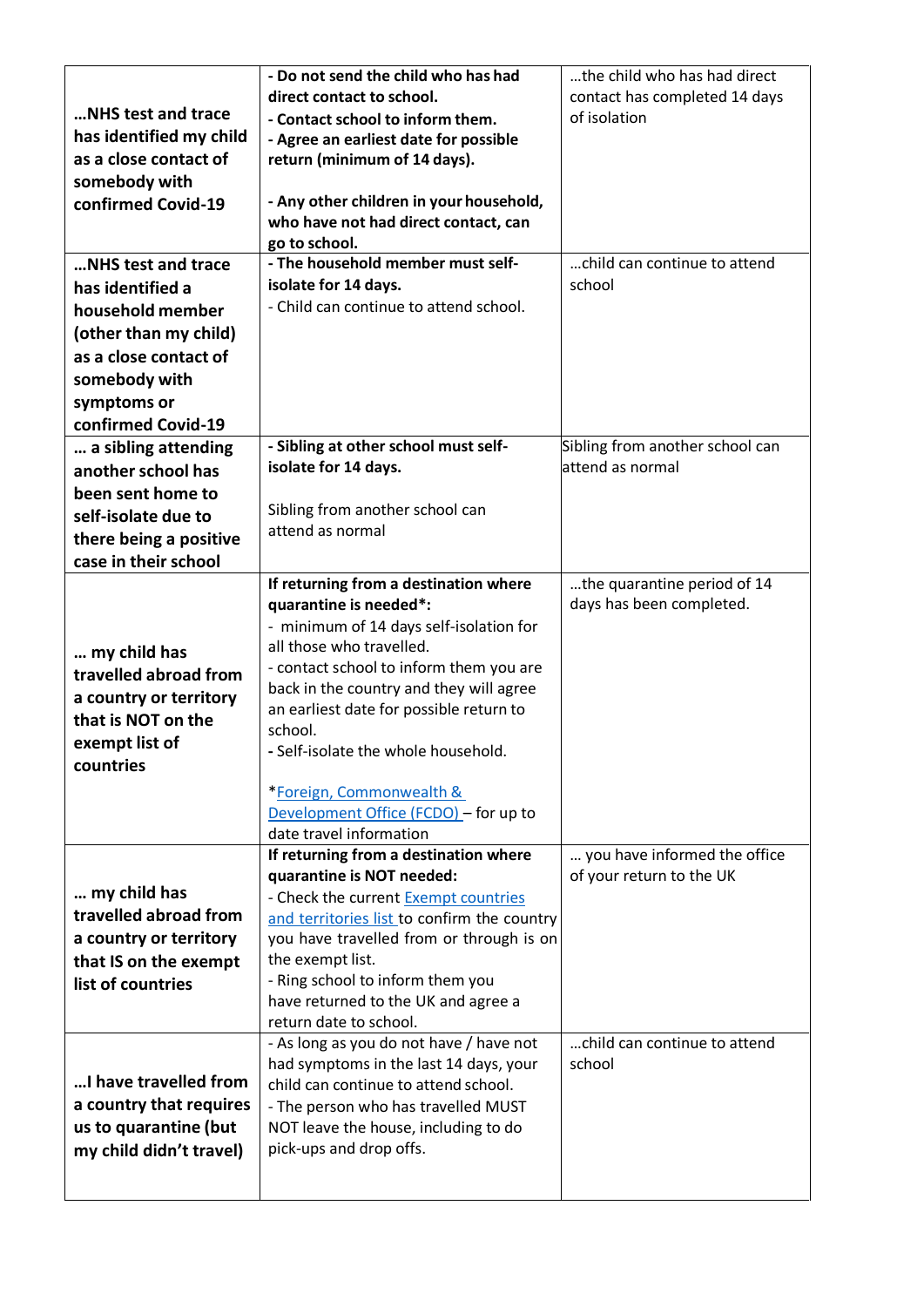|                         | - Do not send the child who has had                              | the child who has had direct    |
|-------------------------|------------------------------------------------------------------|---------------------------------|
|                         | direct contact to school.                                        | contact has completed 14 days   |
| NHS test and trace      | - Contact school to inform them.                                 | of isolation                    |
| has identified my child | - Agree an earliest date for possible                            |                                 |
| as a close contact of   | return (minimum of 14 days).                                     |                                 |
| somebody with           |                                                                  |                                 |
| confirmed Covid-19      | - Any other children in your household,                          |                                 |
|                         | who have not had direct contact, can                             |                                 |
|                         | go to school.                                                    |                                 |
| NHS test and trace      | - The household member must self-                                | child can continue to attend    |
| has identified a        | isolate for 14 days.                                             | school                          |
| household member        | - Child can continue to attend school.                           |                                 |
| (other than my child)   |                                                                  |                                 |
| as a close contact of   |                                                                  |                                 |
| somebody with           |                                                                  |                                 |
| symptoms or             |                                                                  |                                 |
| confirmed Covid-19      |                                                                  |                                 |
| a sibling attending     | - Sibling at other school must self-                             | Sibling from another school can |
| another school has      | isolate for 14 days.                                             | attend as normal                |
| been sent home to       |                                                                  |                                 |
| self-isolate due to     | Sibling from another school can                                  |                                 |
| there being a positive  | attend as normal                                                 |                                 |
| case in their school    |                                                                  |                                 |
|                         | If returning from a destination where                            | the quarantine period of 14     |
|                         | quarantine is needed*:                                           | days has been completed.        |
|                         | - minimum of 14 days self-isolation for                          |                                 |
| my child has            | all those who travelled.                                         |                                 |
| travelled abroad from   | - contact school to inform them you are                          |                                 |
| a country or territory  | back in the country and they will agree                          |                                 |
| that is NOT on the      | an earliest date for possible return to                          |                                 |
|                         | school.                                                          |                                 |
| exempt list of          | - Self-isolate the whole household.                              |                                 |
| countries               |                                                                  |                                 |
|                         | *Foreign, Commonwealth &                                         |                                 |
|                         | Development Office (FCDO) - for up to                            |                                 |
|                         | date travel information<br>If returning from a destination where | you have informed the office    |
|                         | quarantine is NOT needed:                                        | of your return to the UK        |
| my child has            | - Check the current Exempt countries                             |                                 |
| travelled abroad from   | and territories list to confirm the country                      |                                 |
| a country or territory  | you have travelled from or through is on                         |                                 |
| that IS on the exempt   | the exempt list.                                                 |                                 |
| list of countries       | - Ring school to inform them you                                 |                                 |
|                         | have returned to the UK and agree a                              |                                 |
|                         | return date to school.                                           |                                 |
|                         | - As long as you do not have / have not                          | child can continue to attend    |
|                         | had symptoms in the last 14 days, your                           | school                          |
| I have travelled from   | child can continue to attend school.                             |                                 |
| a country that requires | - The person who has travelled MUST                              |                                 |
| us to quarantine (but   | NOT leave the house, including to do                             |                                 |
| my child didn't travel) | pick-ups and drop offs.                                          |                                 |
|                         |                                                                  |                                 |
|                         |                                                                  |                                 |